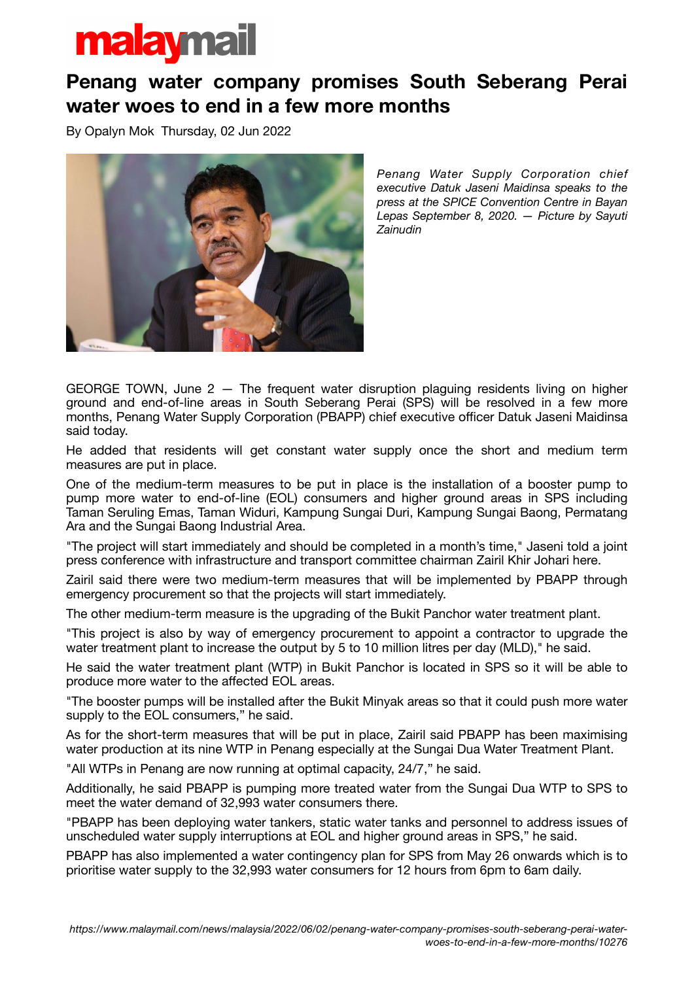## malaymail

## **Penang water company promises South Seberang Perai water woes to end in a few more months**

By Opalyn Mok Thursday, 02 Jun 2022



*Penang Water Supply Corporation chief executive Datuk Jaseni Maidinsa speaks to the press at the SPICE Convention Centre in Bayan Lepas September 8, 2020. — Picture by Sayuti Zainudin*

GEORGE TOWN, June  $2 -$  The frequent water disruption plaguing residents living on higher ground and end-of-line areas in South Seberang Perai (SPS) will be resolved in a few more months, Penang Water Supply Corporation (PBAPP) chief executive officer Datuk Jaseni Maidinsa said today.

He added that residents will get constant water supply once the short and medium term measures are put in place.

One of the medium-term measures to be put in place is the installation of a booster pump to pump more water to end-of-line (EOL) consumers and higher ground areas in SPS including Taman Seruling Emas, Taman Widuri, Kampung Sungai Duri, Kampung Sungai Baong, Permatang Ara and the Sungai Baong Industrial Area.

"The project will start immediately and should be completed in a month's time," Jaseni told a joint press conference with infrastructure and transport committee chairman Zairil Khir Johari here.

Zairil said there were two medium-term measures that will be implemented by PBAPP through emergency procurement so that the projects will start immediately.

The other medium-term measure is the upgrading of the Bukit Panchor water treatment plant.

"This project is also by way of emergency procurement to appoint a contractor to upgrade the water treatment plant to increase the output by 5 to 10 million litres per day (MLD)," he said.

He said the water treatment plant (WTP) in Bukit Panchor is located in SPS so it will be able to produce more water to the affected EOL areas.

"The booster pumps will be installed after the Bukit Minyak areas so that it could push more water supply to the EOL consumers," he said.

As for the short-term measures that will be put in place, Zairil said PBAPP has been maximising water production at its nine WTP in Penang especially at the Sungai Dua Water Treatment Plant.

"All WTPs in Penang are now running at optimal capacity, 24/7," he said.

Additionally, he said PBAPP is pumping more treated water from the Sungai Dua WTP to SPS to meet the water demand of 32,993 water consumers there.

"PBAPP has been deploying water tankers, static water tanks and personnel to address issues of unscheduled water supply interruptions at EOL and higher ground areas in SPS," he said.

PBAPP has also implemented a water contingency plan for SPS from May 26 onwards which is to prioritise water supply to the 32,993 water consumers for 12 hours from 6pm to 6am daily.